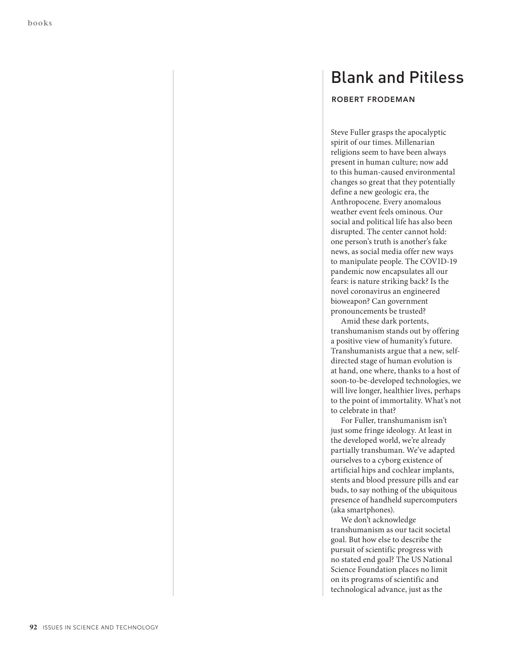## Blank and Pitiless

## **ROBERT FRODEMAN**

Steve Fuller grasps the apocalyptic spirit of our times. Millenarian religions seem to have been always present in human culture; now add to this human-caused environmental changes so great that they potentially define a new geologic era, the Anthropocene. Every anomalous weather event feels ominous. Our social and political life has also been disrupted. The center cannot hold: one person's truth is another's fake news, as social media offer new ways to manipulate people. The COVID-19 pandemic now encapsulates all our fears: is nature striking back? Is the novel coronavirus an engineered bioweapon? Can government pronouncements be trusted?

Amid these dark portents, transhumanism stands out by offering a positive view of humanity's future. Transhumanists argue that a new, selfdirected stage of human evolution is at hand, one where, thanks to a host of soon-to-be-developed technologies, we will live longer, healthier lives, perhaps to the point of immortality. What's not to celebrate in that?

For Fuller, transhumanism isn't just some fringe ideology. At least in the developed world, we're already partially transhuman. We've adapted ourselves to a cyborg existence of artificial hips and cochlear implants, stents and blood pressure pills and ear buds, to say nothing of the ubiquitous presence of handheld supercomputers (aka smartphones).

We don't acknowledge transhumanism as our tacit societal goal. But how else to describe the pursuit of scientific progress with no stated end goal? The US National Science Foundation places no limit on its programs of scientific and technological advance, just as the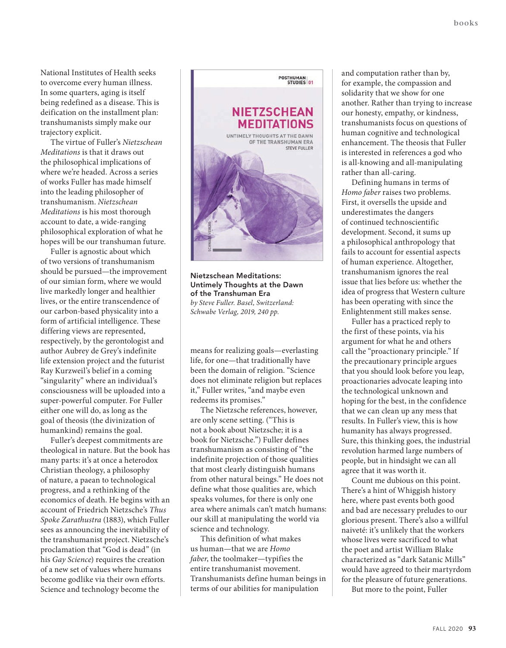National Institutes of Health seeks to overcome every human illness. In some quarters, aging is itself being redefined as a disease. This is deification on the installment plan: transhumanists simply make our trajectory explicit.

The virtue of Fuller's *Nietzschean Meditations* is that it draws out the philosophical implications of where we're headed. Across a series of works Fuller has made himself into the leading philosopher of transhumanism. *Nietzschean Meditations* is his most thorough account to date, a wide-ranging philosophical exploration of what he hopes will be our transhuman future.

Fuller is agnostic about which of two versions of transhumanism should be pursued—the improvement of our simian form, where we would live markedly longer and healthier lives, or the entire transcendence of our carbon-based physicality into a form of artificial intelligence. These differing views are represented, respectively, by the gerontologist and author Aubrey de Grey's indefinite life extension project and the futurist Ray Kurzweil's belief in a coming "singularity" where an individual's consciousness will be uploaded into a super-powerful computer. For Fuller either one will do, as long as the goal of theosis (the divinization of humankind) remains the goal.

Fuller's deepest commitments are theological in nature. But the book has many parts: it's at once a heterodox Christian theology, a philosophy of nature, a paean to technological progress, and a rethinking of the economics of death. He begins with an account of Friedrich Nietzsche's *Thus Spoke Zarathustra* (1883), which Fuller sees as announcing the inevitability of the transhumanist project. Nietzsche's proclamation that "God is dead" (in his *Gay Science*) requires the creation of a new set of values where humans become godlike via their own efforts. Science and technology become the



**Nietzschean Meditations: Untimely Thoughts at the Dawn of the Transhuman Era** *by Steve Fuller. Basel, Switzerland: Schwabe Verlag, 2019, 240 pp.*

means for realizing goals—everlasting life, for one—that traditionally have been the domain of religion. "Science does not eliminate religion but replaces it," Fuller writes, "and maybe even redeems its promises."

The Nietzsche references, however, are only scene setting. ("This is not a book about Nietzsche; it is a book for Nietzsche.") Fuller defines transhumanism as consisting of "the indefinite projection of those qualities that most clearly distinguish humans from other natural beings." He does not define what those qualities are, which speaks volumes, for there is only one area where animals can't match humans: our skill at manipulating the world via science and technology.

This definition of what makes us human—that we are *Homo faber*, the toolmaker—typifies the entire transhumanist movement. Transhumanists define human beings in terms of our abilities for manipulation

and computation rather than by, for example, the compassion and solidarity that we show for one another. Rather than trying to increase our honesty, empathy, or kindness, transhumanists focus on questions of human cognitive and technological enhancement. The theosis that Fuller is interested in references a god who is all-knowing and all-manipulating rather than all-caring.

Defining humans in terms of *Homo faber* raises two problems. First, it oversells the upside and underestimates the dangers of continued technoscientific development. Second, it sums up a philosophical anthropology that fails to account for essential aspects of human experience. Altogether, transhumanism ignores the real issue that lies before us: whether the idea of progress that Western culture has been operating with since the Enlightenment still makes sense.

Fuller has a practiced reply to the first of these points, via his argument for what he and others call the "proactionary principle." If the precautionary principle argues that you should look before you leap, proactionaries advocate leaping into the technological unknown and hoping for the best, in the confidence that we can clean up any mess that results. In Fuller's view, this is how humanity has always progressed. Sure, this thinking goes, the industrial revolution harmed large numbers of people, but in hindsight we can all agree that it was worth it.

Count me dubious on this point. There's a hint of Whiggish history here, where past events both good and bad are necessary preludes to our glorious present. There's also a willful naiveté: it's unlikely that the workers whose lives were sacrificed to what the poet and artist William Blake characterized as "dark Satanic Mills" would have agreed to their martyrdom for the pleasure of future generations.

But more to the point, Fuller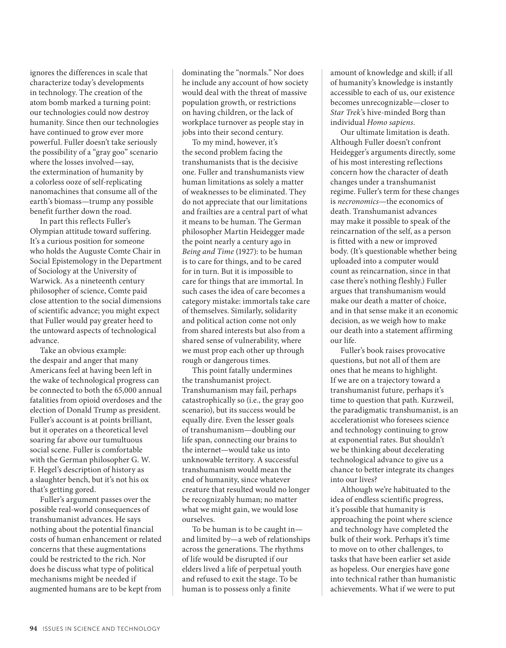ignores the differences in scale that characterize today's developments in technology. The creation of the atom bomb marked a turning point: our technologies could now destroy humanity. Since then our technologies have continued to grow ever more powerful. Fuller doesn't take seriously the possibility of a "gray goo" scenario where the losses involved—say, the extermination of humanity by a colorless ooze of self-replicating nanomachines that consume all of the earth's biomass—trump any possible benefit further down the road.

In part this reflects Fuller's Olympian attitude toward suffering. It's a curious position for someone who holds the Auguste Comte Chair in Social Epistemology in the Department of Sociology at the University of Warwick. As a nineteenth century philosopher of science, Comte paid close attention to the social dimensions of scientific advance; you might expect that Fuller would pay greater heed to the untoward aspects of technological advance.

Take an obvious example: the despair and anger that many Americans feel at having been left in the wake of technological progress can be connected to both the 65,000 annual fatalities from opioid overdoses and the election of Donald Trump as president. Fuller's account is at points brilliant, but it operates on a theoretical level soaring far above our tumultuous social scene. Fuller is comfortable with the German philosopher G. W. F. Hegel's description of history as a slaughter bench, but it's not his ox that's getting gored.

Fuller's argument passes over the possible real-world consequences of transhumanist advances. He says nothing about the potential financial costs of human enhancement or related concerns that these augmentations could be restricted to the rich. Nor does he discuss what type of political mechanisms might be needed if augmented humans are to be kept from

dominating the "normals." Nor does he include any account of how society would deal with the threat of massive population growth, or restrictions on having children, or the lack of workplace turnover as people stay in jobs into their second century.

To my mind, however, it's the second problem facing the transhumanists that is the decisive one. Fuller and transhumanists view human limitations as solely a matter of weaknesses to be eliminated. They do not appreciate that our limitations and frailties are a central part of what it means to be human. The German philosopher Martin Heidegger made the point nearly a century ago in *Being and Time* (1927): to be human is to care for things, and to be cared for in turn. But it is impossible to care for things that are immortal. In such cases the idea of care becomes a category mistake: immortals take care of themselves. Similarly, solidarity and political action come not only from shared interests but also from a shared sense of vulnerability, where we must prop each other up through rough or dangerous times.

This point fatally undermines the transhumanist project. Transhumanism may fail, perhaps catastrophically so (i.e., the gray goo scenario), but its success would be equally dire. Even the lesser goals of transhumanism—doubling our life span, connecting our brains to the internet—would take us into unknowable territory. A successful transhumanism would mean the end of humanity, since whatever creature that resulted would no longer be recognizably human; no matter what we might gain, we would lose ourselves.

To be human is to be caught in and limited by—a web of relationships across the generations. The rhythms of life would be disrupted if our elders lived a life of perpetual youth and refused to exit the stage. To be human is to possess only a finite

amount of knowledge and skill; if all of humanity's knowledge is instantly accessible to each of us, our existence becomes unrecognizable—closer to *Star Trek*'s hive-minded Borg than individual *Homo sapiens*.

Our ultimate limitation is death. Although Fuller doesn't confront Heidegger's arguments directly, some of his most interesting reflections concern how the character of death changes under a transhumanist regime. Fuller's term for these changes is *necronomics*—the economics of death. Transhumanist advances may make it possible to speak of the reincarnation of the self, as a person is fitted with a new or improved body. (It's questionable whether being uploaded into a computer would count as reincarnation, since in that case there's nothing fleshly.) Fuller argues that transhumanism would make our death a matter of choice, and in that sense make it an economic decision, as we weigh how to make our death into a statement affirming our life.

Fuller's book raises provocative questions, but not all of them are ones that he means to highlight. If we are on a trajectory toward a transhumanist future, perhaps it's time to question that path. Kurzweil, the paradigmatic transhumanist, is an accelerationist who foresees science and technology continuing to grow at exponential rates. But shouldn't we be thinking about decelerating technological advance to give us a chance to better integrate its changes into our lives?

Although we're habituated to the idea of endless scientific progress, it's possible that humanity is approaching the point where science and technology have completed the bulk of their work. Perhaps it's time to move on to other challenges, to tasks that have been earlier set aside as hopeless. Our energies have gone into technical rather than humanistic achievements. What if we were to put